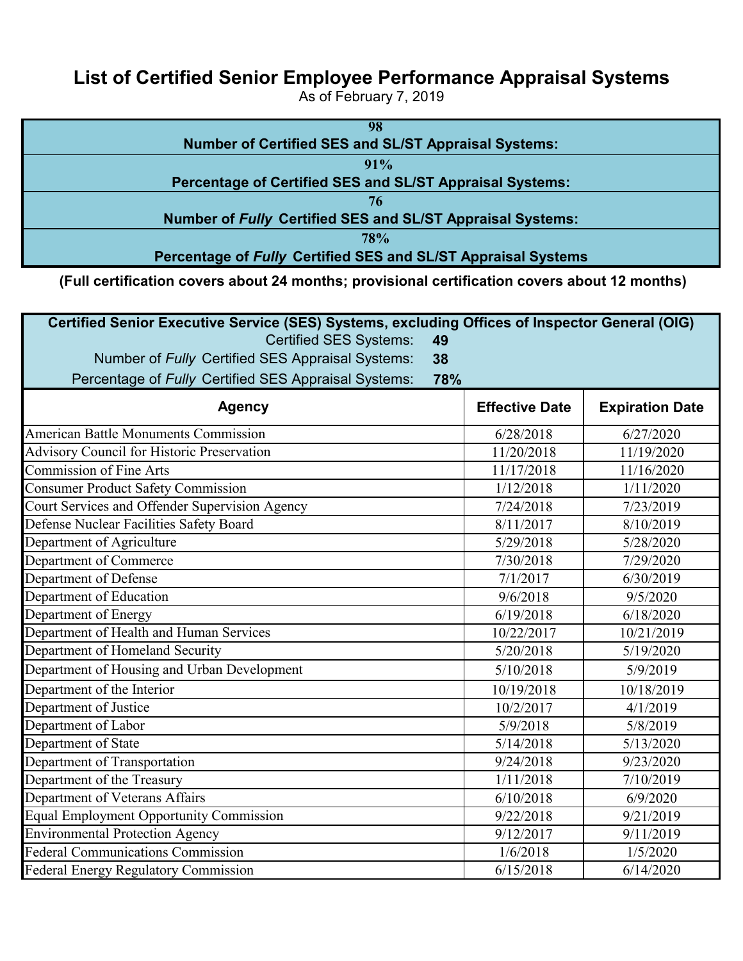## **List of Certified Senior Employee Performance Appraisal Systems**

As of February 7, 2019

 **(Full certification covers about 24 months; provisional certification covers about 12 months)** 

| Certified Senior Executive Service (SES) Systems, excluding Offices of Inspector General (OIG)<br>49 |                       |                        |
|------------------------------------------------------------------------------------------------------|-----------------------|------------------------|
| <b>Certified SES Systems:</b><br>38                                                                  |                       |                        |
| Number of Fully Certified SES Appraisal Systems:                                                     |                       |                        |
| Percentage of Fully Certified SES Appraisal Systems:<br>78%                                          |                       |                        |
| <b>Agency</b>                                                                                        | <b>Effective Date</b> | <b>Expiration Date</b> |
| <b>American Battle Monuments Commission</b>                                                          | 6/28/2018             | 6/27/2020              |
| <b>Advisory Council for Historic Preservation</b>                                                    | 11/20/2018            | 11/19/2020             |
| <b>Commission of Fine Arts</b>                                                                       | 11/17/2018            | 11/16/2020             |
| <b>Consumer Product Safety Commission</b>                                                            | 1/12/2018             | 1/11/2020              |
| Court Services and Offender Supervision Agency                                                       | 7/24/2018             | 7/23/2019              |
| Defense Nuclear Facilities Safety Board                                                              | 8/11/2017             | 8/10/2019              |
| Department of Agriculture                                                                            | 5/29/2018             | 5/28/2020              |
| Department of Commerce                                                                               | 7/30/2018             | 7/29/2020              |
| Department of Defense                                                                                | 7/1/2017              | 6/30/2019              |
| Department of Education                                                                              | 9/6/2018              | 9/5/2020               |
| Department of Energy                                                                                 | 6/19/2018             | 6/18/2020              |
| Department of Health and Human Services                                                              | 10/22/2017            | 10/21/2019             |
| Department of Homeland Security                                                                      | 5/20/2018             | 5/19/2020              |
| Department of Housing and Urban Development                                                          | 5/10/2018             | 5/9/2019               |
| Department of the Interior                                                                           | 10/19/2018            | 10/18/2019             |
| Department of Justice                                                                                | 10/2/2017             | 4/1/2019               |
| Department of Labor                                                                                  | 5/9/2018              | 5/8/2019               |
| Department of State                                                                                  | 5/14/2018             | 5/13/2020              |
| Department of Transportation                                                                         | 9/24/2018             | 9/23/2020              |
| Department of the Treasury                                                                           | 1/11/2018             | 7/10/2019              |
| Department of Veterans Affairs                                                                       | 6/10/2018             | 6/9/2020               |
| <b>Equal Employment Opportunity Commission</b>                                                       | 9/22/2018             | 9/21/2019              |
| <b>Environmental Protection Agency</b>                                                               | 9/12/2017             | 9/11/2019              |
| <b>Federal Communications Commission</b>                                                             | 1/6/2018              | 1/5/2020               |
| <b>Federal Energy Regulatory Commission</b>                                                          | 6/15/2018             | 6/14/2020              |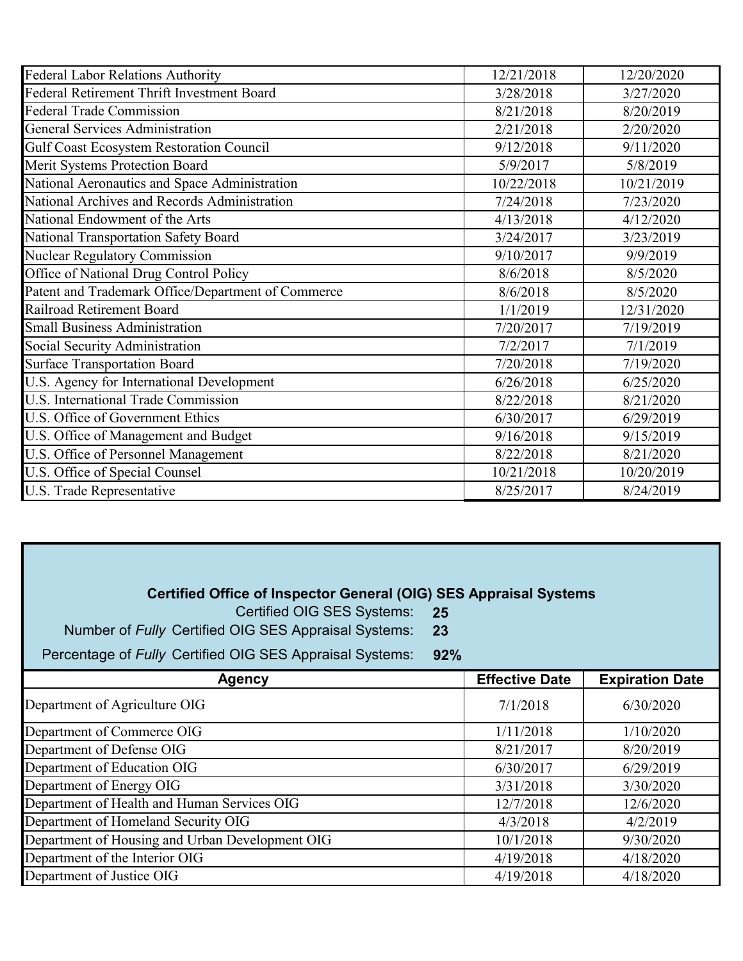| <b>Federal Labor Relations Authority</b>           | 12/21/2018 | 12/20/2020 |
|----------------------------------------------------|------------|------------|
| Federal Retirement Thrift Investment Board         | 3/28/2018  | 3/27/2020  |
| <b>Federal Trade Commission</b>                    | 8/21/2018  | 8/20/2019  |
| <b>General Services Administration</b>             | 2/21/2018  | 2/20/2020  |
| <b>Gulf Coast Ecosystem Restoration Council</b>    | 9/12/2018  | 9/11/2020  |
| Merit Systems Protection Board                     | 5/9/2017   | 5/8/2019   |
| National Aeronautics and Space Administration      | 10/22/2018 | 10/21/2019 |
| National Archives and Records Administration       | 7/24/2018  | 7/23/2020  |
| National Endowment of the Arts                     | 4/13/2018  | 4/12/2020  |
| National Transportation Safety Board               | 3/24/2017  | 3/23/2019  |
| <b>Nuclear Regulatory Commission</b>               | 9/10/2017  | 9/9/2019   |
| Office of National Drug Control Policy             | 8/6/2018   | 8/5/2020   |
| Patent and Trademark Office/Department of Commerce | 8/6/2018   | 8/5/2020   |
| Railroad Retirement Board                          | 1/1/2019   | 12/31/2020 |
| <b>Small Business Administration</b>               | 7/20/2017  | 7/19/2019  |
| Social Security Administration                     | 7/2/2017   | 7/1/2019   |
| <b>Surface Transportation Board</b>                | 7/20/2018  | 7/19/2020  |
| U.S. Agency for International Development          | 6/26/2018  | 6/25/2020  |
| U.S. International Trade Commission                | 8/22/2018  | 8/21/2020  |
| U.S. Office of Government Ethics                   | 6/30/2017  | 6/29/2019  |
| U.S. Office of Management and Budget               | 9/16/2018  | 9/15/2019  |
| U.S. Office of Personnel Management                | 8/22/2018  | 8/21/2020  |
| U.S. Office of Special Counsel                     | 10/21/2018 | 10/20/2019 |
| U.S. Trade Representative                          | 8/25/2017  | 8/24/2019  |

## **Certified Office of Inspector General (OIG) SES Appraisal Systems**

Certified OIG SES Systems: **25** 

Number of *Fully* Certified OIG SES Appraisal Systems: **23** 

Percentage of *Fully* Certified OIG SES Appraisal Systems: **92%** 

| <b>Agency</b>                                   | <b>Effective Date</b> | <b>Expiration Date</b> |
|-------------------------------------------------|-----------------------|------------------------|
| Department of Agriculture OIG                   | 7/1/2018              | 6/30/2020              |
| Department of Commerce OIG                      | 1/11/2018             | 1/10/2020              |
| Department of Defense OIG                       | 8/21/2017             | 8/20/2019              |
| Department of Education OIG                     | 6/30/2017             | 6/29/2019              |
| Department of Energy OIG                        | 3/31/2018             | 3/30/2020              |
| Department of Health and Human Services OIG     | 12/7/2018             | 12/6/2020              |
| Department of Homeland Security OIG             | 4/3/2018              | 4/2/2019               |
| Department of Housing and Urban Development OIG | 10/1/2018             | 9/30/2020              |
| Department of the Interior OIG                  | 4/19/2018             | 4/18/2020              |
| Department of Justice OIG                       | 4/19/2018             | 4/18/2020              |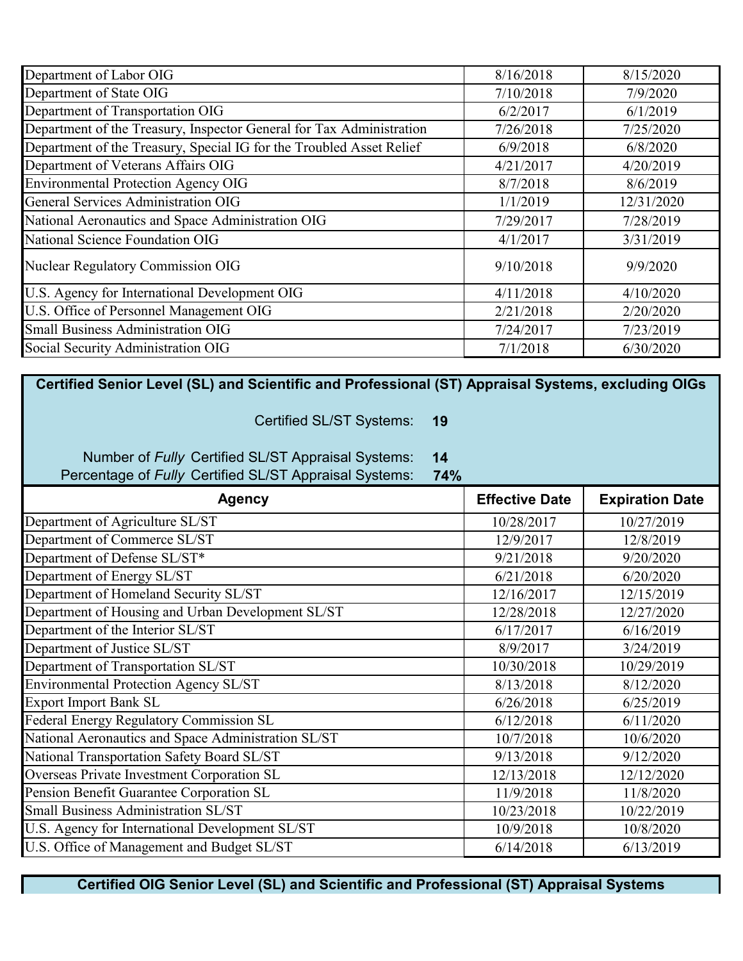| Department of Labor OIG                                              | 8/16/2018 | 8/15/2020  |
|----------------------------------------------------------------------|-----------|------------|
| Department of State OIG                                              | 7/10/2018 | 7/9/2020   |
| Department of Transportation OIG                                     | 6/2/2017  | 6/1/2019   |
| Department of the Treasury, Inspector General for Tax Administration | 7/26/2018 | 7/25/2020  |
| Department of the Treasury, Special IG for the Troubled Asset Relief | 6/9/2018  | 6/8/2020   |
| Department of Veterans Affairs OIG                                   | 4/21/2017 | 4/20/2019  |
| <b>Environmental Protection Agency OIG</b>                           | 8/7/2018  | 8/6/2019   |
| <b>General Services Administration OIG</b>                           | 1/1/2019  | 12/31/2020 |
| National Aeronautics and Space Administration OIG                    | 7/29/2017 | 7/28/2019  |
| National Science Foundation OIG                                      | 4/1/2017  | 3/31/2019  |
| <b>Nuclear Regulatory Commission OIG</b>                             | 9/10/2018 | 9/9/2020   |
| U.S. Agency for International Development OIG                        | 4/11/2018 | 4/10/2020  |
| U.S. Office of Personnel Management OIG                              | 2/21/2018 | 2/20/2020  |
| <b>Small Business Administration OIG</b>                             | 7/24/2017 | 7/23/2019  |
| Social Security Administration OIG                                   | 7/1/2018  | 6/30/2020  |

 **Certified Senior Level (SL) and Scientific and Professional (ST) Appraisal Systems, excluding OIGs** 

Certified SL/ST Systems: **19** 

Number of *Fully* Certified SL/ST Appraisal Systems: **14** 

Percentage of *Fully* Certified SL/ST Appraisal Systems: **74%** 

| <b>Agency</b>                                       | <b>Effective Date</b> | <b>Expiration Date</b> |
|-----------------------------------------------------|-----------------------|------------------------|
| Department of Agriculture SL/ST                     | 10/28/2017            | 10/27/2019             |
| Department of Commerce SL/ST                        | 12/9/2017             | 12/8/2019              |
| Department of Defense SL/ST*                        | 9/21/2018             | 9/20/2020              |
| Department of Energy SL/ST                          | 6/21/2018             | 6/20/2020              |
| Department of Homeland Security SL/ST               | 12/16/2017            | 12/15/2019             |
| Department of Housing and Urban Development SL/ST   | 12/28/2018            | 12/27/2020             |
| Department of the Interior SL/ST                    | 6/17/2017             | 6/16/2019              |
| Department of Justice SL/ST                         | 8/9/2017              | 3/24/2019              |
| Department of Transportation SL/ST                  | 10/30/2018            | 10/29/2019             |
| Environmental Protection Agency SL/ST               | 8/13/2018             | 8/12/2020              |
| <b>Export Import Bank SL</b>                        | 6/26/2018             | 6/25/2019              |
| Federal Energy Regulatory Commission SL             | 6/12/2018             | 6/11/2020              |
| National Aeronautics and Space Administration SL/ST | 10/7/2018             | 10/6/2020              |
| National Transportation Safety Board SL/ST          | 9/13/2018             | 9/12/2020              |
| Overseas Private Investment Corporation SL          | 12/13/2018            | 12/12/2020             |
| Pension Benefit Guarantee Corporation SL            | 11/9/2018             | 11/8/2020              |
| Small Business Administration SL/ST                 | 10/23/2018            | 10/22/2019             |
| U.S. Agency for International Development SL/ST     | 10/9/2018             | 10/8/2020              |
| U.S. Office of Management and Budget SL/ST          | 6/14/2018             | 6/13/2019              |

 **Certified OIG Senior Level (SL) and Scientific and Professional (ST) Appraisal Systems**